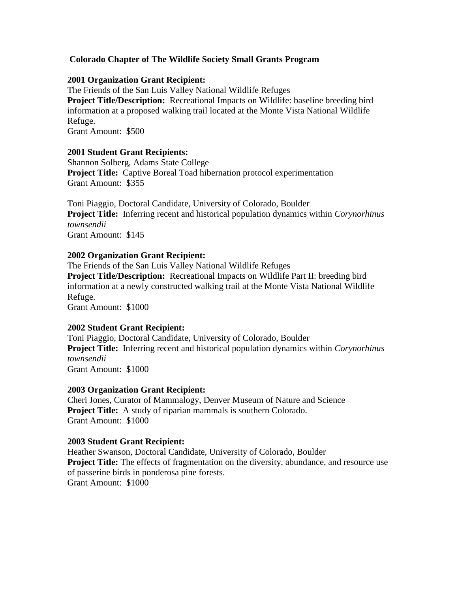# **Colorado Chapter of The Wildlife Society Small Grants Program**

# **2001 Organization Grant Recipient:**

The Friends of the San Luis Valley National Wildlife Refuges **Project Title/Description:** Recreational Impacts on Wildlife: baseline breeding bird information at a proposed walking trail located at the Monte Vista National Wildlife Refuge. Grant Amount: \$500

# **2001 Student Grant Recipients:**

Shannon Solberg, Adams State College **Project Title:** Captive Boreal Toad hibernation protocol experimentation Grant Amount: \$355

Toni Piaggio, Doctoral Candidate, University of Colorado, Boulder **Project Title:** Inferring recent and historical population dynamics within *Corynorhinus townsendii* Grant Amount: \$145

# **2002 Organization Grant Recipient:**

The Friends of the San Luis Valley National Wildlife Refuges **Project Title/Description:** Recreational Impacts on Wildlife Part II: breeding bird information at a newly constructed walking trail at the Monte Vista National Wildlife Refuge. Grant Amount: \$1000

#### **2002 Student Grant Recipient:**

Toni Piaggio, Doctoral Candidate, University of Colorado, Boulder **Project Title:** Inferring recent and historical population dynamics within *Corynorhinus townsendii* Grant Amount: \$1000

#### **2003 Organization Grant Recipient:**

Cheri Jones, Curator of Mammalogy, Denver Museum of Nature and Science **Project Title:** A study of riparian mammals is southern Colorado. Grant Amount: \$1000

#### **2003 Student Grant Recipient:**

Heather Swanson, Doctoral Candidate, University of Colorado, Boulder **Project Title:** The effects of fragmentation on the diversity, abundance, and resource use of passerine birds in ponderosa pine forests. Grant Amount: \$1000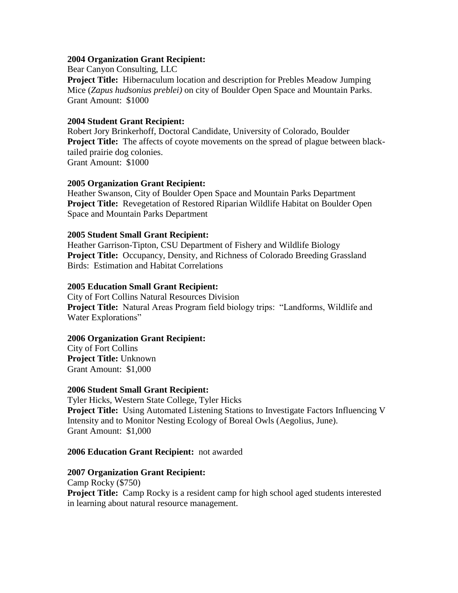# **2004 Organization Grant Recipient:**

Bear Canyon Consulting, LLC **Project Title:** Hibernaculum location and description for Prebles Meadow Jumping Mice (*Zapus hudsonius preblei)* on city of Boulder Open Space and Mountain Parks. Grant Amount: \$1000

### **2004 Student Grant Recipient:**

Robert Jory Brinkerhoff, Doctoral Candidate, University of Colorado, Boulder **Project Title:** The affects of coyote movements on the spread of plague between blacktailed prairie dog colonies. Grant Amount: \$1000

# **2005 Organization Grant Recipient:**

Heather Swanson, City of Boulder Open Space and Mountain Parks Department **Project Title:** Revegetation of Restored Riparian Wildlife Habitat on Boulder Open Space and Mountain Parks Department

# **2005 Student Small Grant Recipient:**

Heather Garrison-Tipton, CSU Department of Fishery and Wildlife Biology **Project Title:** Occupancy, Density, and Richness of Colorado Breeding Grassland Birds: Estimation and Habitat Correlations

# **2005 Education Small Grant Recipient:**

City of Fort Collins Natural Resources Division **Project Title:** Natural Areas Program field biology trips: "Landforms, Wildlife and Water Explorations"

#### **2006 Organization Grant Recipient:**

City of Fort Collins **Project Title:** Unknown Grant Amount:\$1,000

#### **2006 Student Small Grant Recipient:**

Tyler Hicks, Western State College, Tyler Hicks **Project Title:** Using Automated Listening Stations to Investigate Factors Influencing V Intensity and to Monitor Nesting Ecology of Boreal Owls (Aegolius, June). Grant Amount:\$1,000

#### **2006 Education Grant Recipient:** not awarded

#### **2007 Organization Grant Recipient:**

Camp Rocky (\$750) **Project Title:** Camp Rocky is a resident camp for high school aged students interested in learning about natural resource management.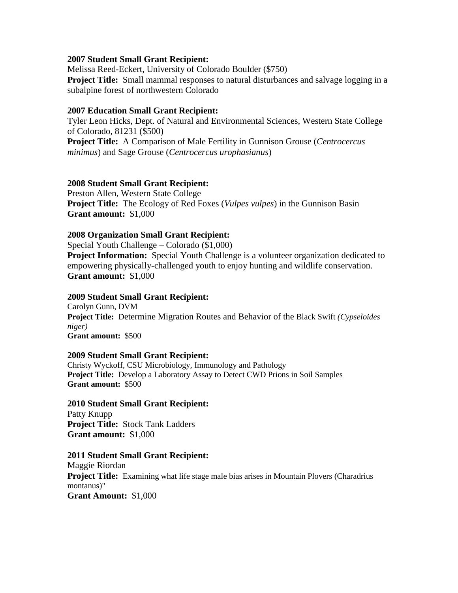### **2007 Student Small Grant Recipient:**

Melissa Reed-Eckert, University of Colorado Boulder (\$750) **Project Title:** Small mammal responses to natural disturbances and salvage logging in a subalpine forest of northwestern Colorado

# **2007 Education Small Grant Recipient:**

Tyler Leon Hicks, Dept. of Natural and Environmental Sciences, Western State College of Colorado, 81231 (\$500) **Project Title:** A Comparison of Male Fertility in Gunnison Grouse (*Centrocercus minimus*) and Sage Grouse (*Centrocercus urophasianus*)

# **2008 Student Small Grant Recipient:**

Preston Allen, Western State College **Project Title:** The Ecology of Red Foxes (*Vulpes vulpes*) in the Gunnison Basin **Grant amount:** \$1,000

# **2008 Organization Small Grant Recipient:**

Special Youth Challenge – Colorado (\$1,000) **Project Information:** Special Youth Challenge is a volunteer organization dedicated to empowering physically-challenged youth to enjoy hunting and wildlife conservation. **Grant amount:** \$1,000

### **2009 Student Small Grant Recipient:**

Carolyn Gunn, DVM **Project Title:** Determine Migration Routes and Behavior of the Black Swift *(Cypseloides niger)* **Grant amount:** \$500

#### **2009 Student Small Grant Recipient:**

Christy Wyckoff, CSU Microbiology, Immunology and Pathology **Project Title:** Develop a Laboratory Assay to Detect CWD Prions in Soil Samples **Grant amount:** \$500

#### **2010 Student Small Grant Recipient:**

Patty Knupp **Project Title:** Stock Tank Ladders **Grant amount:** \$1,000

#### **2011 Student Small Grant Recipient:**

Maggie Riordan **Project Title:** Examining what life stage male bias arises in Mountain Plovers (Charadrius montanus)" **Grant Amount:** \$1,000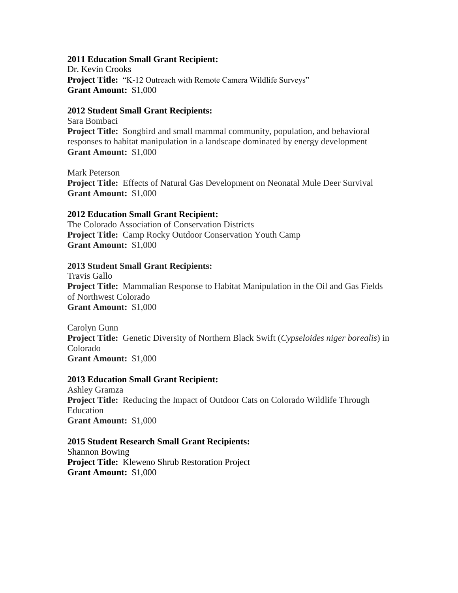### **2011 Education Small Grant Recipient:**

Dr. Kevin Crooks **Project Title:** "K-12 Outreach with Remote Camera Wildlife Surveys" **Grant Amount:** \$1,000

# **2012 Student Small Grant Recipients:**

Sara Bombaci **Project Title:** Songbird and small mammal community, population, and behavioral responses to habitat manipulation in a landscape dominated by energy development **Grant Amount:** \$1,000

Mark Peterson **Project Title:** Effects of Natural Gas Development on Neonatal Mule Deer Survival **Grant Amount:** \$1,000

# **2012 Education Small Grant Recipient:**

The Colorado Association of Conservation Districts **Project Title:** Camp Rocky Outdoor Conservation Youth Camp **Grant Amount:** \$1,000

# **2013 Student Small Grant Recipients:**

Travis Gallo **Project Title:** Mammalian Response to Habitat Manipulation in the Oil and Gas Fields of Northwest Colorado **Grant Amount:** \$1,000

Carolyn Gunn **Project Title:** Genetic Diversity of Northern Black Swift (*Cypseloides niger borealis*) in Colorado **Grant Amount:** \$1,000

# **2013 Education Small Grant Recipient:**

Ashley Gramza **Project Title:** Reducing the Impact of Outdoor Cats on Colorado Wildlife Through Education **Grant Amount:** \$1,000

# **2015 Student Research Small Grant Recipients:**

Shannon Bowing **Project Title:** Kleweno Shrub Restoration Project **Grant Amount:** \$1,000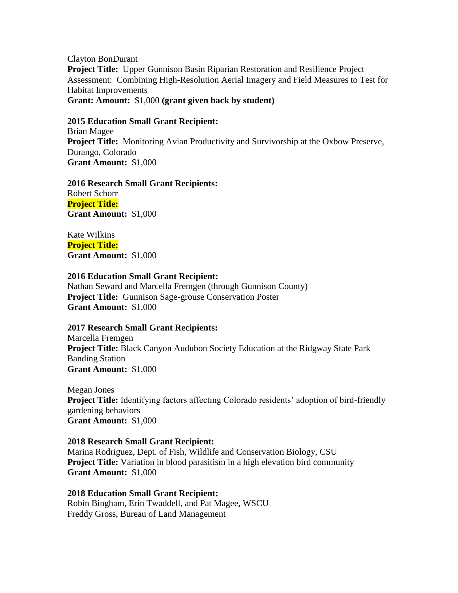Clayton BonDurant **Project Title:** Upper Gunnison Basin Riparian Restoration and Resilience Project Assessment: Combining High-Resolution Aerial Imagery and Field Measures to Test for Habitat Improvements **Grant: Amount:** \$1,000 **(grant given back by student)**

### **2015 Education Small Grant Recipient:**

Brian Magee **Project Title:** Monitoring Avian Productivity and Survivorship at the Oxbow Preserve, Durango, Colorado **Grant Amount:** \$1,000

**2016 Research Small Grant Recipients:**  Robert Schorr **Project Title: Grant Amount:** \$1,000

Kate Wilkins **Project Title: Grant Amount:** \$1,000

#### **2016 Education Small Grant Recipient:**

Nathan Seward and Marcella Fremgen (through Gunnison County) **Project Title:** Gunnison Sage-grouse Conservation Poster **Grant Amount:** \$1,000

#### **2017 Research Small Grant Recipients:**

Marcella Fremgen **Project Title:** Black Canyon Audubon Society Education at the Ridgway State Park Banding Station **Grant Amount:** \$1,000

Megan Jones **Project Title:** Identifying factors affecting Colorado residents' adoption of bird-friendly gardening behaviors **Grant Amount:** \$1,000

#### **2018 Research Small Grant Recipient:**

Marina Rodriguez, Dept. of Fish, Wildlife and Conservation Biology, CSU **Project Title:** Variation in blood parasitism in a high elevation bird community **Grant Amount:** \$1,000

**2018 Education Small Grant Recipient:** Robin Bingham, Erin Twaddell, and Pat Magee, WSCU Freddy Gross, Bureau of Land Management